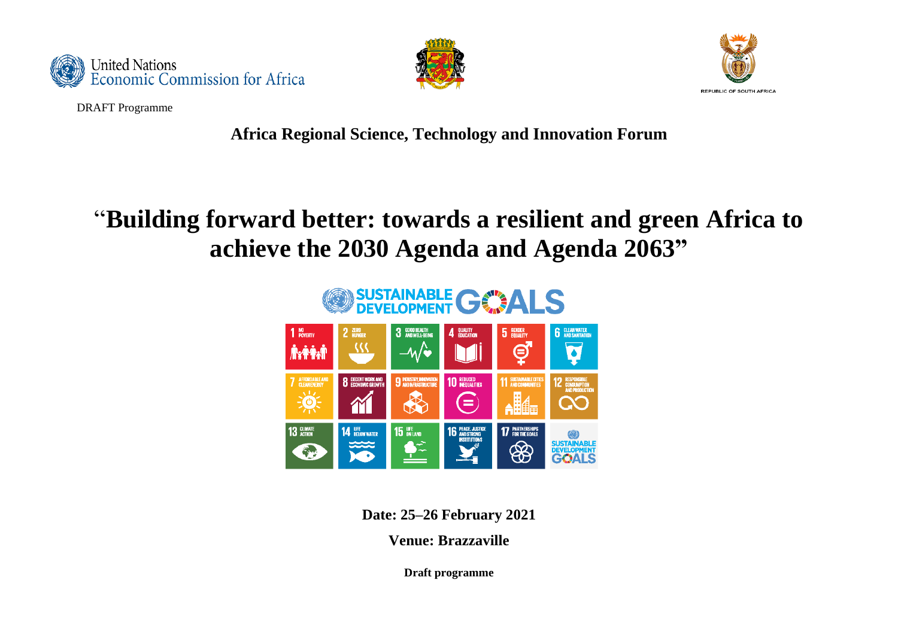





DRAFT Programme

**Africa Regional Science, Technology and Innovation Forum** 

# "**Building forward better: towards a resilient and green Africa to achieve the 2030 Agenda and Agenda 2063"**



**Date: 25–26 February 2021**

**Venue: Brazzaville**

**Draft programme**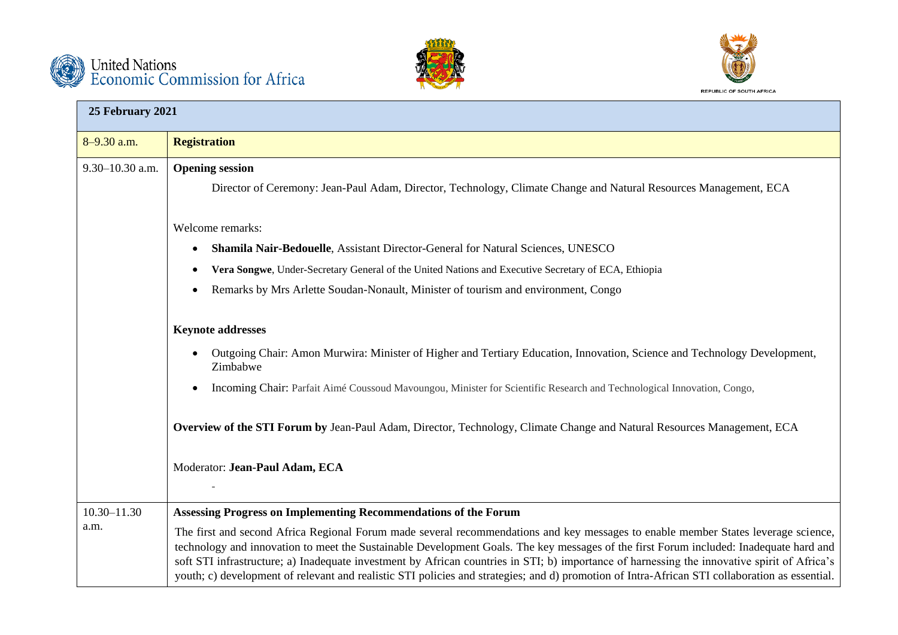





| 25 February 2021    |                                                                                                                                                                                                                                                                                                                                                                                                                                                                                                                                                                                |
|---------------------|--------------------------------------------------------------------------------------------------------------------------------------------------------------------------------------------------------------------------------------------------------------------------------------------------------------------------------------------------------------------------------------------------------------------------------------------------------------------------------------------------------------------------------------------------------------------------------|
| 8-9.30 a.m.         | <b>Registration</b>                                                                                                                                                                                                                                                                                                                                                                                                                                                                                                                                                            |
| $9.30 - 10.30$ a.m. | <b>Opening session</b><br>Director of Ceremony: Jean-Paul Adam, Director, Technology, Climate Change and Natural Resources Management, ECA                                                                                                                                                                                                                                                                                                                                                                                                                                     |
|                     | Welcome remarks:                                                                                                                                                                                                                                                                                                                                                                                                                                                                                                                                                               |
|                     | Shamila Nair-Bedouelle, Assistant Director-General for Natural Sciences, UNESCO<br>$\bullet$                                                                                                                                                                                                                                                                                                                                                                                                                                                                                   |
|                     | Vera Songwe, Under-Secretary General of the United Nations and Executive Secretary of ECA, Ethiopia                                                                                                                                                                                                                                                                                                                                                                                                                                                                            |
|                     | Remarks by Mrs Arlette Soudan-Nonault, Minister of tourism and environment, Congo                                                                                                                                                                                                                                                                                                                                                                                                                                                                                              |
|                     | <b>Keynote addresses</b>                                                                                                                                                                                                                                                                                                                                                                                                                                                                                                                                                       |
|                     | Outgoing Chair: Amon Murwira: Minister of Higher and Tertiary Education, Innovation, Science and Technology Development,<br>Zimbabwe                                                                                                                                                                                                                                                                                                                                                                                                                                           |
|                     | Incoming Chair: Parfait Aimé Coussoud Mavoungou, Minister for Scientific Research and Technological Innovation, Congo,                                                                                                                                                                                                                                                                                                                                                                                                                                                         |
|                     | Overview of the STI Forum by Jean-Paul Adam, Director, Technology, Climate Change and Natural Resources Management, ECA                                                                                                                                                                                                                                                                                                                                                                                                                                                        |
|                     | Moderator: Jean-Paul Adam, ECA                                                                                                                                                                                                                                                                                                                                                                                                                                                                                                                                                 |
|                     |                                                                                                                                                                                                                                                                                                                                                                                                                                                                                                                                                                                |
| $10.30 - 11.30$     | Assessing Progress on Implementing Recommendations of the Forum                                                                                                                                                                                                                                                                                                                                                                                                                                                                                                                |
| a.m.                | The first and second Africa Regional Forum made several recommendations and key messages to enable member States leverage science,<br>technology and innovation to meet the Sustainable Development Goals. The key messages of the first Forum included: Inadequate hard and<br>soft STI infrastructure; a) Inadequate investment by African countries in STI; b) importance of harnessing the innovative spirit of Africa's<br>youth; c) development of relevant and realistic STI policies and strategies; and d) promotion of Intra-African STI collaboration as essential. |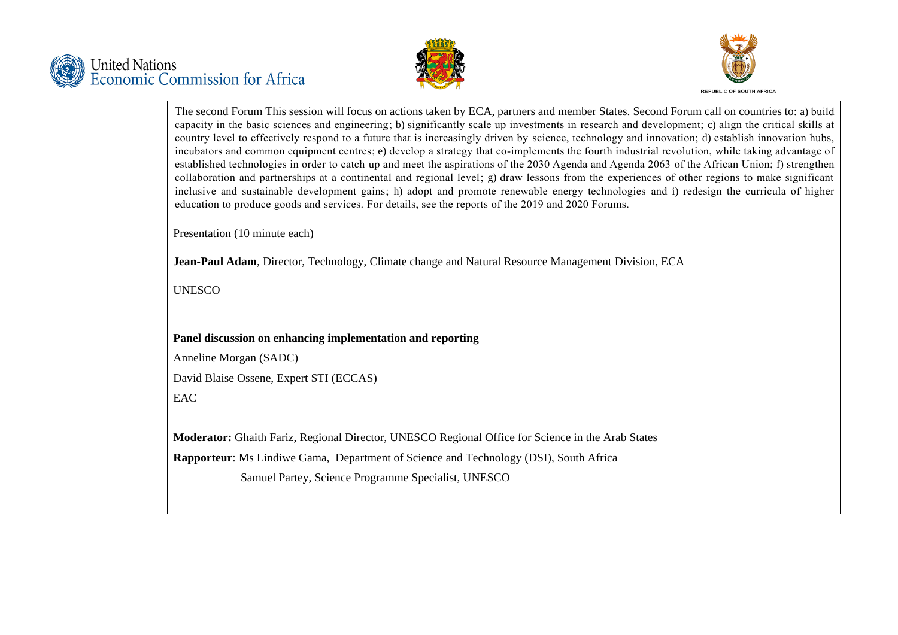





|                               | The second Forum This session will focus on actions taken by ECA, partners and member States. Second Forum call on countries to: a) build<br>capacity in the basic sciences and engineering; b) significantly scale up investments in research and development; c) align the critical skills at<br>country level to effectively respond to a future that is increasingly driven by science, technology and innovation; d) establish innovation hubs,<br>incubators and common equipment centres; e) develop a strategy that co-implements the fourth industrial revolution, while taking advantage of<br>established technologies in order to catch up and meet the aspirations of the 2030 Agenda and Agenda 2063 of the African Union; f) strengthen<br>collaboration and partnerships at a continental and regional level; g) draw lessons from the experiences of other regions to make significant<br>inclusive and sustainable development gains; h) adopt and promote renewable energy technologies and i) redesign the curricula of higher |
|-------------------------------|----------------------------------------------------------------------------------------------------------------------------------------------------------------------------------------------------------------------------------------------------------------------------------------------------------------------------------------------------------------------------------------------------------------------------------------------------------------------------------------------------------------------------------------------------------------------------------------------------------------------------------------------------------------------------------------------------------------------------------------------------------------------------------------------------------------------------------------------------------------------------------------------------------------------------------------------------------------------------------------------------------------------------------------------------|
|                               | education to produce goods and services. For details, see the reports of the 2019 and 2020 Forums.                                                                                                                                                                                                                                                                                                                                                                                                                                                                                                                                                                                                                                                                                                                                                                                                                                                                                                                                                 |
| Presentation (10 minute each) |                                                                                                                                                                                                                                                                                                                                                                                                                                                                                                                                                                                                                                                                                                                                                                                                                                                                                                                                                                                                                                                    |
|                               | Jean-Paul Adam, Director, Technology, Climate change and Natural Resource Management Division, ECA                                                                                                                                                                                                                                                                                                                                                                                                                                                                                                                                                                                                                                                                                                                                                                                                                                                                                                                                                 |
| <b>UNESCO</b>                 |                                                                                                                                                                                                                                                                                                                                                                                                                                                                                                                                                                                                                                                                                                                                                                                                                                                                                                                                                                                                                                                    |
|                               |                                                                                                                                                                                                                                                                                                                                                                                                                                                                                                                                                                                                                                                                                                                                                                                                                                                                                                                                                                                                                                                    |
|                               | Panel discussion on enhancing implementation and reporting                                                                                                                                                                                                                                                                                                                                                                                                                                                                                                                                                                                                                                                                                                                                                                                                                                                                                                                                                                                         |
| Anneline Morgan (SADC)        |                                                                                                                                                                                                                                                                                                                                                                                                                                                                                                                                                                                                                                                                                                                                                                                                                                                                                                                                                                                                                                                    |
|                               | David Blaise Ossene, Expert STI (ECCAS)                                                                                                                                                                                                                                                                                                                                                                                                                                                                                                                                                                                                                                                                                                                                                                                                                                                                                                                                                                                                            |
| EAC                           |                                                                                                                                                                                                                                                                                                                                                                                                                                                                                                                                                                                                                                                                                                                                                                                                                                                                                                                                                                                                                                                    |
|                               | Moderator: Ghaith Fariz, Regional Director, UNESCO Regional Office for Science in the Arab States                                                                                                                                                                                                                                                                                                                                                                                                                                                                                                                                                                                                                                                                                                                                                                                                                                                                                                                                                  |
|                               | <b>Rapporteur:</b> Ms Lindiwe Gama, Department of Science and Technology (DSI), South Africa                                                                                                                                                                                                                                                                                                                                                                                                                                                                                                                                                                                                                                                                                                                                                                                                                                                                                                                                                       |
|                               | Samuel Partey, Science Programme Specialist, UNESCO                                                                                                                                                                                                                                                                                                                                                                                                                                                                                                                                                                                                                                                                                                                                                                                                                                                                                                                                                                                                |
|                               |                                                                                                                                                                                                                                                                                                                                                                                                                                                                                                                                                                                                                                                                                                                                                                                                                                                                                                                                                                                                                                                    |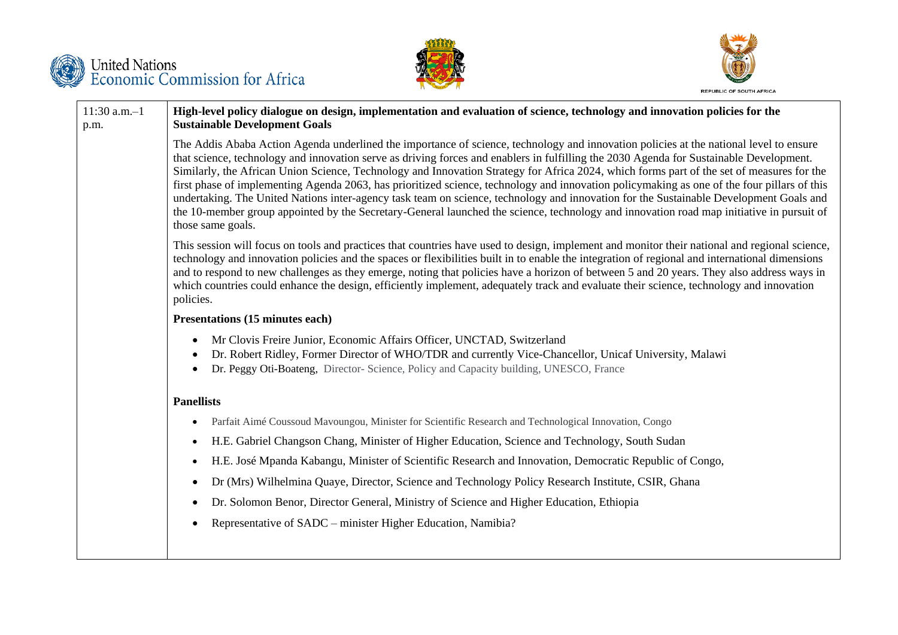

p.m.





11:30 a.m.–1 **High-level policy dialogue on design, implementation and evaluation of science, technology and innovation policies for the Sustainable Development Goals**

> The Addis Ababa Action Agenda underlined the importance of science, technology and innovation policies at the national level to ensure that science, technology and innovation serve as driving forces and enablers in fulfilling the 2030 Agenda for Sustainable Development. Similarly, the African Union Science, Technology and Innovation Strategy for Africa 2024, which forms part of the set of measures for the first phase of implementing Agenda 2063, has prioritized science, technology and innovation policymaking as one of the four pillars of this undertaking. The United Nations inter-agency task team on science, technology and innovation for the Sustainable Development Goals and the 10-member group appointed by the Secretary-General launched the science, technology and innovation road map initiative in pursuit of those same goals.

> This session will focus on tools and practices that countries have used to design, implement and monitor their national and regional science, technology and innovation policies and the spaces or flexibilities built in to enable the integration of regional and international dimensions and to respond to new challenges as they emerge, noting that policies have a horizon of between 5 and 20 years. They also address ways in which countries could enhance the design, efficiently implement, adequately track and evaluate their science, technology and innovation policies.

#### **Presentations (15 minutes each)**

- Mr Clovis Freire Junior, Economic Affairs Officer, UNCTAD, Switzerland
- Dr. Robert Ridley, Former Director of WHO/TDR and currently Vice-Chancellor, Unicaf University, Malawi
- Dr. Peggy Oti-Boateng, Director- Science, Policy and Capacity building, UNESCO, France

## **Panellists**

- Parfait Aimé Coussoud Mavoungou, Minister for Scientific Research and Technological Innovation, Congo
- H.E. Gabriel Changson Chang, Minister of Higher Education, Science and Technology, South Sudan
- H.E. José Mpanda Kabangu, Minister of Scientific Research and Innovation, Democratic Republic of Congo,
- Dr (Mrs) Wilhelmina Quaye, Director, Science and Technology Policy Research Institute, CSIR, Ghana
- Dr. Solomon Benor, Director General, Ministry of Science and Higher Education, Ethiopia
- Representative of SADC minister Higher Education, Namibia?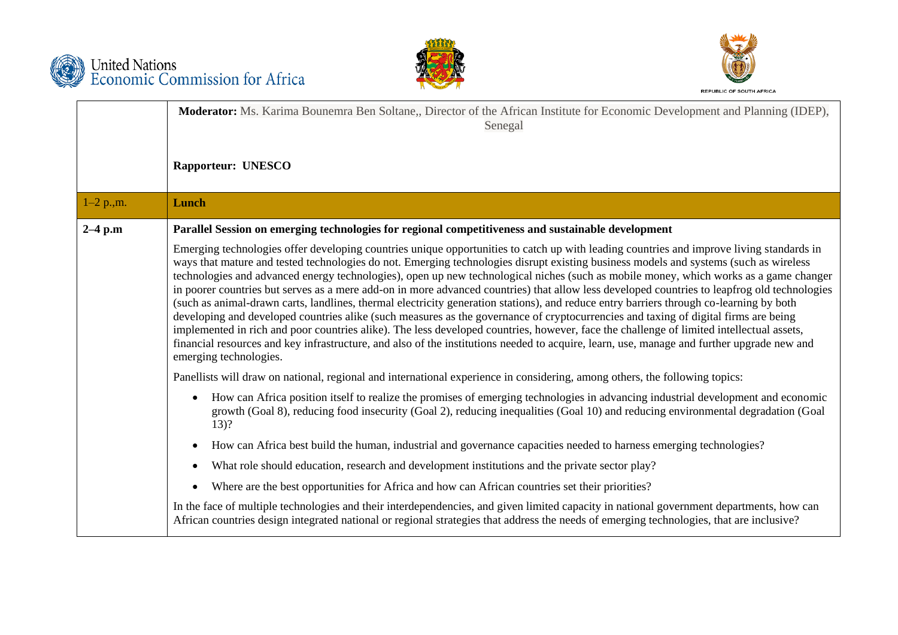





|              | <b>Moderator:</b> Ms. Karima Bounemra Ben Soltane,, Director of the African Institute for Economic Development and Planning (IDEP),<br>Senegal                                                                                                                                                                                                                                                                                                                                                                                                                                                                                                                                                                                                                                                                                                                                                                                                                                                                                                                                                                                                                                   |
|--------------|----------------------------------------------------------------------------------------------------------------------------------------------------------------------------------------------------------------------------------------------------------------------------------------------------------------------------------------------------------------------------------------------------------------------------------------------------------------------------------------------------------------------------------------------------------------------------------------------------------------------------------------------------------------------------------------------------------------------------------------------------------------------------------------------------------------------------------------------------------------------------------------------------------------------------------------------------------------------------------------------------------------------------------------------------------------------------------------------------------------------------------------------------------------------------------|
|              | <b>Rapporteur: UNESCO</b>                                                                                                                                                                                                                                                                                                                                                                                                                                                                                                                                                                                                                                                                                                                                                                                                                                                                                                                                                                                                                                                                                                                                                        |
| $1-2$ p., m. | Lunch                                                                                                                                                                                                                                                                                                                                                                                                                                                                                                                                                                                                                                                                                                                                                                                                                                                                                                                                                                                                                                                                                                                                                                            |
| $2-4$ p.m    | Parallel Session on emerging technologies for regional competitiveness and sustainable development                                                                                                                                                                                                                                                                                                                                                                                                                                                                                                                                                                                                                                                                                                                                                                                                                                                                                                                                                                                                                                                                               |
|              | Emerging technologies offer developing countries unique opportunities to catch up with leading countries and improve living standards in<br>ways that mature and tested technologies do not. Emerging technologies disrupt existing business models and systems (such as wireless<br>technologies and advanced energy technologies), open up new technological niches (such as mobile money, which works as a game changer<br>in poorer countries but serves as a mere add-on in more advanced countries) that allow less developed countries to leapfrog old technologies<br>(such as animal-drawn carts, landlines, thermal electricity generation stations), and reduce entry barriers through co-learning by both<br>developing and developed countries alike (such measures as the governance of cryptocurrencies and taxing of digital firms are being<br>implemented in rich and poor countries alike). The less developed countries, however, face the challenge of limited intellectual assets,<br>financial resources and key infrastructure, and also of the institutions needed to acquire, learn, use, manage and further upgrade new and<br>emerging technologies. |
|              | Panellists will draw on national, regional and international experience in considering, among others, the following topics:                                                                                                                                                                                                                                                                                                                                                                                                                                                                                                                                                                                                                                                                                                                                                                                                                                                                                                                                                                                                                                                      |
|              | How can Africa position itself to realize the promises of emerging technologies in advancing industrial development and economic<br>$\bullet$<br>growth (Goal 8), reducing food insecurity (Goal 2), reducing inequalities (Goal 10) and reducing environmental degradation (Goal<br>$13)$ ?                                                                                                                                                                                                                                                                                                                                                                                                                                                                                                                                                                                                                                                                                                                                                                                                                                                                                     |
|              | How can Africa best build the human, industrial and governance capacities needed to harness emerging technologies?<br>$\bullet$                                                                                                                                                                                                                                                                                                                                                                                                                                                                                                                                                                                                                                                                                                                                                                                                                                                                                                                                                                                                                                                  |
|              | What role should education, research and development institutions and the private sector play?<br>$\bullet$                                                                                                                                                                                                                                                                                                                                                                                                                                                                                                                                                                                                                                                                                                                                                                                                                                                                                                                                                                                                                                                                      |
|              | Where are the best opportunities for Africa and how can African countries set their priorities?<br>$\bullet$                                                                                                                                                                                                                                                                                                                                                                                                                                                                                                                                                                                                                                                                                                                                                                                                                                                                                                                                                                                                                                                                     |
|              | In the face of multiple technologies and their interdependencies, and given limited capacity in national government departments, how can<br>African countries design integrated national or regional strategies that address the needs of emerging technologies, that are inclusive?                                                                                                                                                                                                                                                                                                                                                                                                                                                                                                                                                                                                                                                                                                                                                                                                                                                                                             |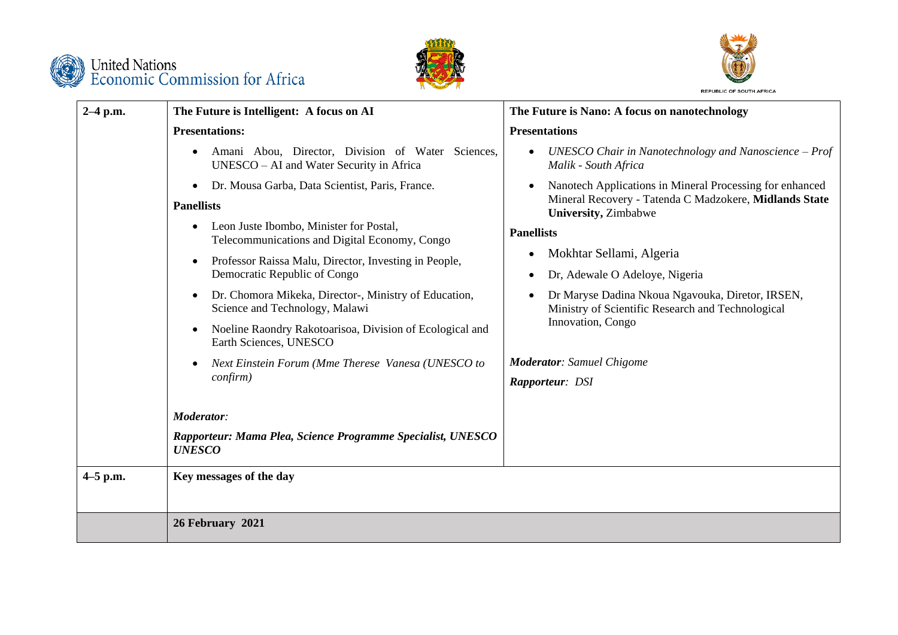





| $2-4$ p.m.   | The Future is Intelligent: A focus on AI                                                              | The Future is Nano: A focus on nanotechnology                                                                                                                   |
|--------------|-------------------------------------------------------------------------------------------------------|-----------------------------------------------------------------------------------------------------------------------------------------------------------------|
|              | <b>Presentations:</b>                                                                                 | <b>Presentations</b>                                                                                                                                            |
|              | Amani Abou, Director, Division of Water Sciences,<br>UNESCO – AI and Water Security in Africa         | UNESCO Chair in Nanotechnology and Nanoscience $-$ Prof<br>$\bullet$<br>Malik - South Africa                                                                    |
|              | Dr. Mousa Garba, Data Scientist, Paris, France.<br>$\bullet$<br><b>Panellists</b>                     | Nanotech Applications in Mineral Processing for enhanced<br>$\bullet$<br>Mineral Recovery - Tatenda C Madzokere, Midlands State<br><b>University</b> , Zimbabwe |
|              | Leon Juste Ibombo, Minister for Postal,<br>$\bullet$<br>Telecommunications and Digital Economy, Congo | <b>Panellists</b>                                                                                                                                               |
|              | Professor Raissa Malu, Director, Investing in People,                                                 | Mokhtar Sellami, Algeria<br>$\bullet$                                                                                                                           |
|              | Democratic Republic of Congo                                                                          | Dr, Adewale O Adeloye, Nigeria<br>$\bullet$                                                                                                                     |
|              | Dr. Chomora Mikeka, Director-, Ministry of Education,<br>$\bullet$<br>Science and Technology, Malawi  | Dr Maryse Dadina Nkoua Ngavouka, Diretor, IRSEN,<br>$\bullet$<br>Ministry of Scientific Research and Technological                                              |
|              | Noeline Raondry Rakotoarisoa, Division of Ecological and<br>Earth Sciences, UNESCO                    | Innovation, Congo                                                                                                                                               |
|              | Next Einstein Forum (Mme Therese Vanesa (UNESCO to                                                    | <b>Moderator:</b> Samuel Chigome                                                                                                                                |
|              | $\text{confirm})$                                                                                     | Rapporteur: DSI                                                                                                                                                 |
|              | <b>Moderator:</b>                                                                                     |                                                                                                                                                                 |
|              | Rapporteur: Mama Plea, Science Programme Specialist, UNESCO<br><b>UNESCO</b>                          |                                                                                                                                                                 |
| $4 - 5$ p.m. | Key messages of the day                                                                               |                                                                                                                                                                 |
|              | 26 February 2021                                                                                      |                                                                                                                                                                 |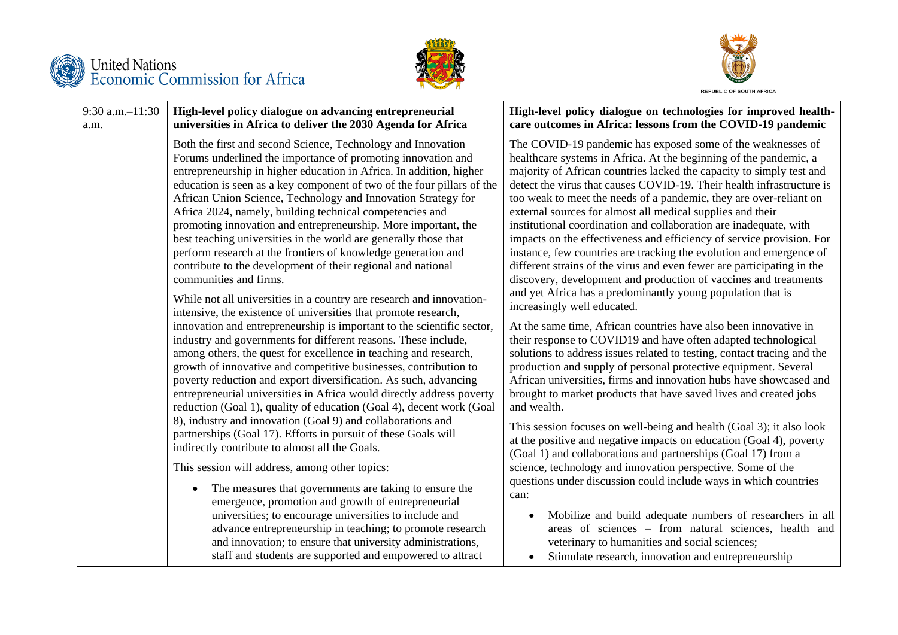





#### 9:30 a.m.–11:30 a.m. **High-level policy dialogue on advancing entrepreneurial universities in Africa to deliver the 2030 Agenda for Africa** Both the first and second Science, Technology and Innovation Forums underlined the importance of promoting innovation and entrepreneurship in higher education in Africa. In addition, higher education is seen as a key component of two of the four pillars of the African Union Science, Technology and Innovation Strategy for Africa 2024, namely, building technical competencies and promoting innovation and entrepreneurship. More important, the best teaching universities in the world are generally those that perform research at the frontiers of knowledge generation and contribute to the development of their regional and national communities and firms. While not all universities in a country are research and innovationintensive, the existence of universities that promote research, innovation and entrepreneurship is important to the scientific sector, industry and governments for different reasons. These include, among others, the quest for excellence in teaching and research, growth of innovative and competitive businesses, contribution to poverty reduction and export diversification. As such, advancing entrepreneurial universities in Africa would directly address poverty reduction (Goal 1), quality of education (Goal 4), decent work (Goal 8), industry and innovation (Goal 9) and collaborations and partnerships (Goal 17). Efforts in pursuit of these Goals will indirectly contribute to almost all the Goals. This session will address, among other topics: • The measures that governments are taking to ensure the emergence, promotion and growth of entrepreneurial universities; to encourage universities to include and advance entrepreneurship in teaching; to promote research and innovation; to ensure that university administrations, can:

staff and students are supported and empowered to attract

#### **High-level policy dialogue on technologies for improved healthcare outcomes in Africa: lessons from the COVID-19 pandemic**

The COVID-19 pandemic has exposed some of the weaknesses of healthcare systems in Africa. At the beginning of the pandemic, a majority of African countries lacked the capacity to simply test and detect the virus that causes COVID-19. Their health infrastructure is too weak to meet the needs of a pandemic, they are over-reliant on external sources for almost all medical supplies and their institutional coordination and collaboration are inadequate, with impacts on the effectiveness and efficiency of service provision. For instance, few countries are tracking the evolution and emergence of different strains of the virus and even fewer are participating in the discovery, development and production of vaccines and treatments and yet Africa has a predominantly young population that is increasingly well educated.

At the same time, African countries have also been innovative in their response to COVID19 and have often adapted technological solutions to address issues related to testing, contact tracing and the production and supply of personal protective equipment. Several African universities, firms and innovation hubs have showcased and brought to market products that have saved lives and created jobs and wealth.

This session focuses on well-being and health (Goal 3); it also look at the positive and negative impacts on education (Goal 4), poverty (Goal 1) and collaborations and partnerships (Goal 17) from a science, technology and innovation perspective. Some of the questions under discussion could include ways in which countries

- Mobilize and build adequate numbers of researchers in all areas of sciences – from natural sciences, health and veterinary to humanities and social sciences;
- Stimulate research, innovation and entrepreneurship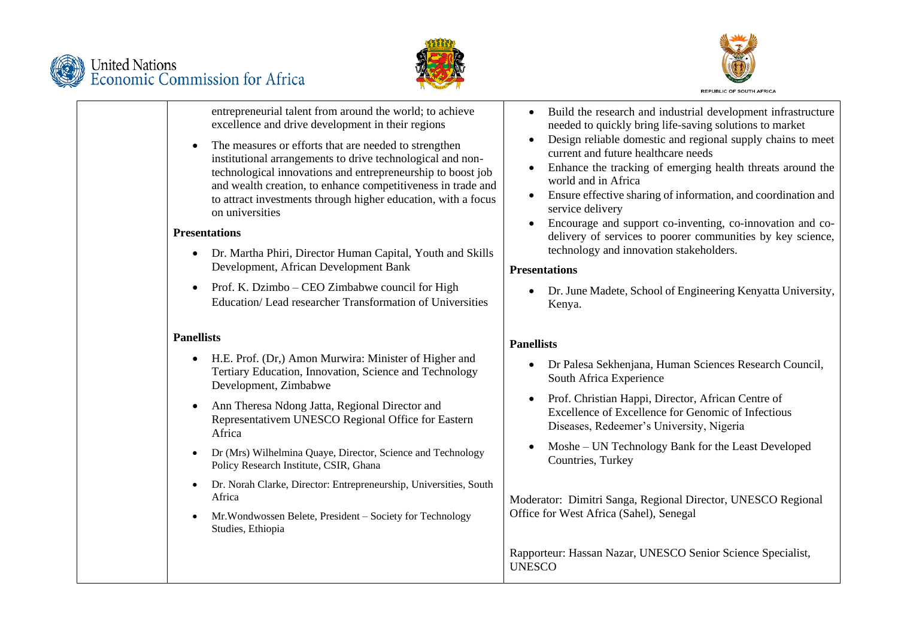





entrepreneurial talent from around the world; to achieve excellence and drive development in their regions

 The measures or efforts that are needed to strengthen institutional arrangements to drive technological and nontechnological innovations and entrepreneurship to boost job and wealth creation, to enhance competitiveness in trade and to attract investments through higher education, with a focus on universities

#### **Presentations**

- Dr. Martha Phiri, Director Human Capital, Youth and Skills Development, African Development Bank
- Prof. K. Dzimbo CEO Zimbabwe council for High Education/ Lead researcher Transformation of Universities

# **Panellists**

- H.E. Prof. (Dr,) Amon Murwira: Minister of Higher and Tertiary Education, Innovation, Science and Technology Development, Zimbabwe
- Ann Theresa Ndong Jatta, Regional Director and Representativem UNESCO Regional Office for Eastern Africa
- Dr (Mrs) Wilhelmina Quaye, Director, Science and Technology Policy Research Institute, CSIR, Ghana
- Dr. Norah Clarke, Director: Entrepreneurship, Universities, South Africa
- Mr.Wondwossen Belete, President Society for Technology Studies, Ethiopia
- Build the research and industrial development infrastructure needed to quickly bring life-saving solutions to market
- Design reliable domestic and regional supply chains to meet current and future healthcare needs
- Enhance the tracking of emerging health threats around the world and in Africa
- Ensure effective sharing of information, and coordination and service delivery
- Encourage and support co-inventing, co-innovation and codelivery of services to poorer communities by key science, technology and innovation stakeholders.

## **Presentations**

 Dr. June Madete, School of Engineering Kenyatta University, Kenya.

# **Panellists**

- Dr Palesa Sekhenjana, Human Sciences Research Council, South Africa Experience
- Prof. Christian Happi, Director, African Centre of Excellence of Excellence for Genomic of Infectious Diseases, Redeemer's University, Nigeria
- Moshe UN Technology Bank for the Least Developed Countries, Turkey

Moderator: Dimitri Sanga, Regional Director, UNESCO Regional Office for West Africa (Sahel), Senegal

Rapporteur: Hassan Nazar, UNESCO Senior Science Specialist, UNESCO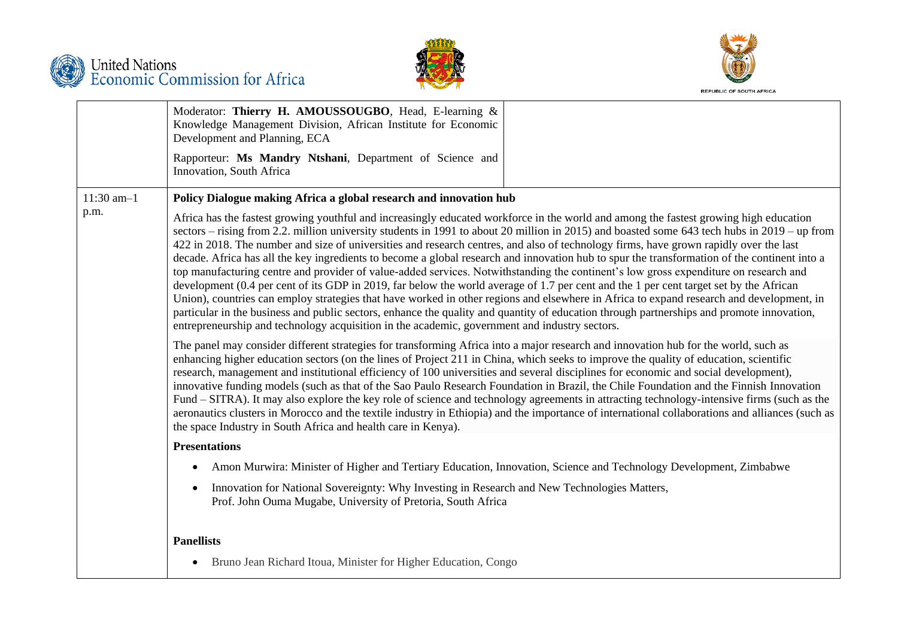





|              | Moderator: Thierry H. AMOUSSOUGBO, Head, E-learning &<br>Knowledge Management Division, African Institute for Economic<br>Development and Planning, ECA                                                                                                                                                                                                                                                                                                                                                                                                                                                                                                                                                                                                                                                                                                                                                                                                                                                                                                                                                                                                                                                                                                    |  |
|--------------|------------------------------------------------------------------------------------------------------------------------------------------------------------------------------------------------------------------------------------------------------------------------------------------------------------------------------------------------------------------------------------------------------------------------------------------------------------------------------------------------------------------------------------------------------------------------------------------------------------------------------------------------------------------------------------------------------------------------------------------------------------------------------------------------------------------------------------------------------------------------------------------------------------------------------------------------------------------------------------------------------------------------------------------------------------------------------------------------------------------------------------------------------------------------------------------------------------------------------------------------------------|--|
|              | Rapporteur: Ms Mandry Ntshani, Department of Science and<br>Innovation, South Africa                                                                                                                                                                                                                                                                                                                                                                                                                                                                                                                                                                                                                                                                                                                                                                                                                                                                                                                                                                                                                                                                                                                                                                       |  |
| $11:30$ am-1 | Policy Dialogue making Africa a global research and innovation hub                                                                                                                                                                                                                                                                                                                                                                                                                                                                                                                                                                                                                                                                                                                                                                                                                                                                                                                                                                                                                                                                                                                                                                                         |  |
| p.m.         | Africa has the fastest growing youthful and increasingly educated workforce in the world and among the fastest growing high education<br>sectors – rising from 2.2. million university students in 1991 to about 20 million in 2015) and boasted some 643 tech hubs in 2019 – up from<br>422 in 2018. The number and size of universities and research centres, and also of technology firms, have grown rapidly over the last<br>decade. Africa has all the key ingredients to become a global research and innovation hub to spur the transformation of the continent into a<br>top manufacturing centre and provider of value-added services. Notwithstanding the continent's low gross expenditure on research and<br>development (0.4 per cent of its GDP in 2019, far below the world average of 1.7 per cent and the 1 per cent target set by the African<br>Union), countries can employ strategies that have worked in other regions and elsewhere in Africa to expand research and development, in<br>particular in the business and public sectors, enhance the quality and quantity of education through partnerships and promote innovation,<br>entrepreneurship and technology acquisition in the academic, government and industry sectors. |  |
|              | The panel may consider different strategies for transforming Africa into a major research and innovation hub for the world, such as<br>enhancing higher education sectors (on the lines of Project 211 in China, which seeks to improve the quality of education, scientific<br>research, management and institutional efficiency of 100 universities and several disciplines for economic and social development),<br>innovative funding models (such as that of the Sao Paulo Research Foundation in Brazil, the Chile Foundation and the Finnish Innovation<br>Fund – SITRA). It may also explore the key role of science and technology agreements in attracting technology-intensive firms (such as the<br>aeronautics clusters in Morocco and the textile industry in Ethiopia) and the importance of international collaborations and alliances (such as<br>the space Industry in South Africa and health care in Kenya).                                                                                                                                                                                                                                                                                                                           |  |
|              | <b>Presentations</b>                                                                                                                                                                                                                                                                                                                                                                                                                                                                                                                                                                                                                                                                                                                                                                                                                                                                                                                                                                                                                                                                                                                                                                                                                                       |  |
|              | Amon Murwira: Minister of Higher and Tertiary Education, Innovation, Science and Technology Development, Zimbabwe                                                                                                                                                                                                                                                                                                                                                                                                                                                                                                                                                                                                                                                                                                                                                                                                                                                                                                                                                                                                                                                                                                                                          |  |
|              | Innovation for National Sovereignty: Why Investing in Research and New Technologies Matters,<br>Prof. John Ouma Mugabe, University of Pretoria, South Africa                                                                                                                                                                                                                                                                                                                                                                                                                                                                                                                                                                                                                                                                                                                                                                                                                                                                                                                                                                                                                                                                                               |  |
|              | <b>Panellists</b>                                                                                                                                                                                                                                                                                                                                                                                                                                                                                                                                                                                                                                                                                                                                                                                                                                                                                                                                                                                                                                                                                                                                                                                                                                          |  |
|              | Bruno Jean Richard Itoua, Minister for Higher Education, Congo<br>$\bullet$                                                                                                                                                                                                                                                                                                                                                                                                                                                                                                                                                                                                                                                                                                                                                                                                                                                                                                                                                                                                                                                                                                                                                                                |  |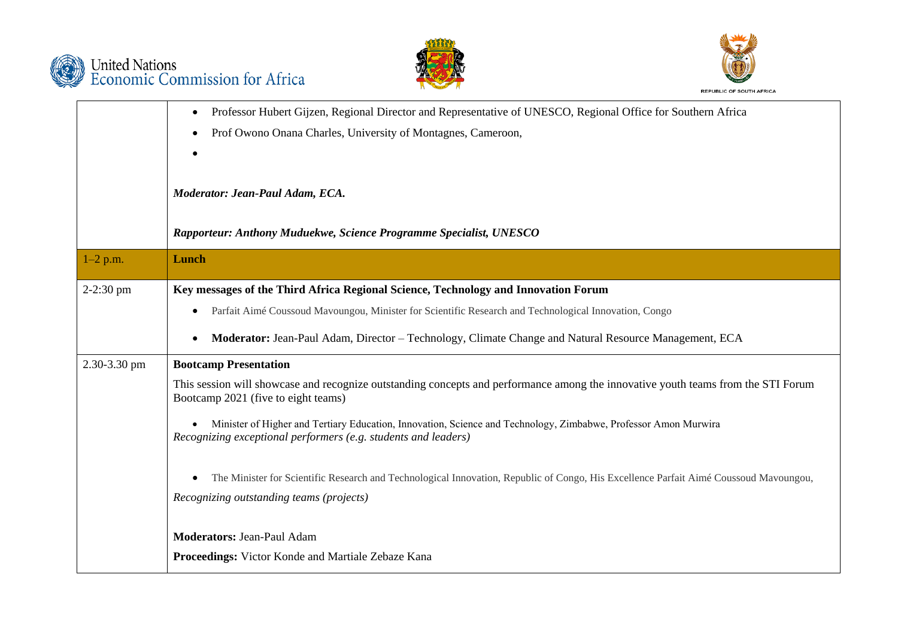





|              | Professor Hubert Gijzen, Regional Director and Representative of UNESCO, Regional Office for Southern Africa<br>٠                                                                 |
|--------------|-----------------------------------------------------------------------------------------------------------------------------------------------------------------------------------|
|              | Prof Owono Onana Charles, University of Montagnes, Cameroon,<br>$\bullet$                                                                                                         |
|              | $\bullet$                                                                                                                                                                         |
|              | Moderator: Jean-Paul Adam, ECA.                                                                                                                                                   |
|              | Rapporteur: Anthony Muduekwe, Science Programme Specialist, UNESCO                                                                                                                |
| $1-2$ p.m.   | Lunch                                                                                                                                                                             |
| $2-2:30$ pm  | Key messages of the Third Africa Regional Science, Technology and Innovation Forum                                                                                                |
|              | Parfait Aimé Coussoud Mavoungou, Minister for Scientific Research and Technological Innovation, Congo<br>٠                                                                        |
|              | Moderator: Jean-Paul Adam, Director - Technology, Climate Change and Natural Resource Management, ECA<br>$\bullet$                                                                |
| 2.30-3.30 pm | <b>Bootcamp Presentation</b>                                                                                                                                                      |
|              | This session will showcase and recognize outstanding concepts and performance among the innovative youth teams from the STI Forum<br>Bootcamp 2021 (five to eight teams)          |
|              | Minister of Higher and Tertiary Education, Innovation, Science and Technology, Zimbabwe, Professor Amon Murwira<br>Recognizing exceptional performers (e.g. students and leaders) |
|              | The Minister for Scientific Research and Technological Innovation, Republic of Congo, His Excellence Parfait Aimé Coussoud Mavoungou,<br>$\bullet$                                |
|              | Recognizing outstanding teams (projects)                                                                                                                                          |
|              | <b>Moderators: Jean-Paul Adam</b>                                                                                                                                                 |
|              | Proceedings: Victor Konde and Martiale Zebaze Kana                                                                                                                                |